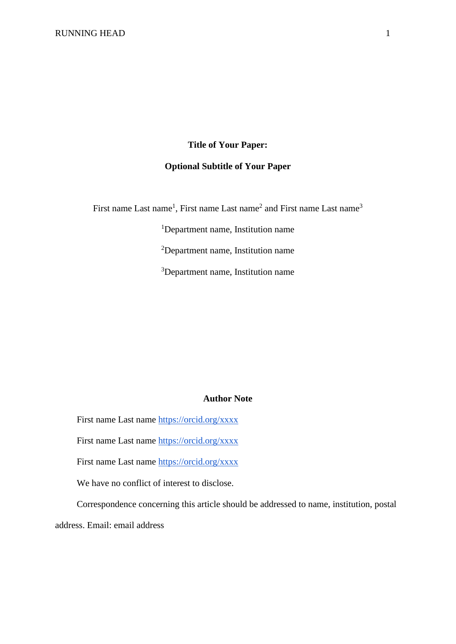# **Title of Your Paper: Optional Subtitle of Your Paper**

First name Last name<sup>1</sup>, First name Last name<sup>2</sup> and First name Last name<sup>3</sup>

<sup>1</sup>Department name, Institution name <sup>2</sup>Department name, Institution name <sup>3</sup>Department name, Institution name

# **Author Note**

First name Last name<https://orcid.org/xxxx>

First name Last name<https://orcid.org/xxxx>

First name Last name<https://orcid.org/xxxx>

We have no conflict of interest to disclose.

Correspondence concerning this article should be addressed to name, institution, postal

address. Email: email address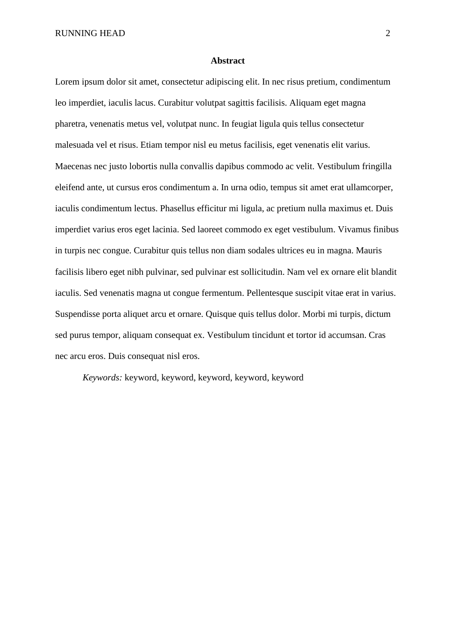RUNNING HEAD 2

#### **Abstract**

Lorem ipsum dolor sit amet, consectetur adipiscing elit. In nec risus pretium, condimentum leo imperdiet, iaculis lacus. Curabitur volutpat sagittis facilisis. Aliquam eget magna pharetra, venenatis metus vel, volutpat nunc. In feugiat ligula quis tellus consectetur malesuada vel et risus. Etiam tempor nisl eu metus facilisis, eget venenatis elit varius. Maecenas nec justo lobortis nulla convallis dapibus commodo ac velit. Vestibulum fringilla eleifend ante, ut cursus eros condimentum a. In urna odio, tempus sit amet erat ullamcorper, iaculis condimentum lectus. Phasellus efficitur mi ligula, ac pretium nulla maximus et. Duis imperdiet varius eros eget lacinia. Sed laoreet commodo ex eget vestibulum. Vivamus finibus in turpis nec congue. Curabitur quis tellus non diam sodales ultrices eu in magna. Mauris facilisis libero eget nibh pulvinar, sed pulvinar est sollicitudin. Nam vel ex ornare elit blandit iaculis. Sed venenatis magna ut congue fermentum. Pellentesque suscipit vitae erat in varius. Suspendisse porta aliquet arcu et ornare. Quisque quis tellus dolor. Morbi mi turpis, dictum sed purus tempor, aliquam consequat ex. Vestibulum tincidunt et tortor id accumsan. Cras nec arcu eros. Duis consequat nisl eros.

*Keywords:* keyword, keyword, keyword, keyword, keyword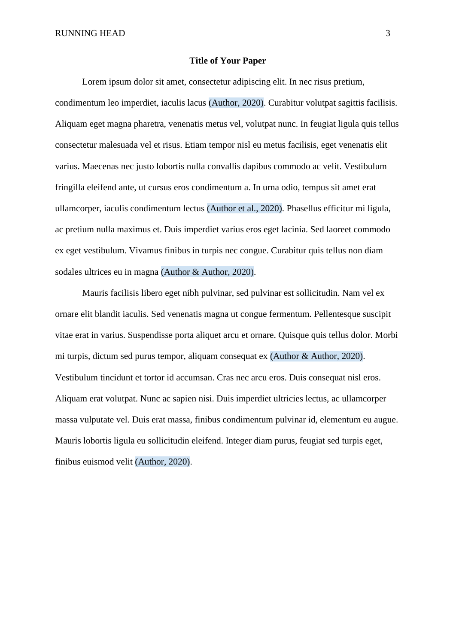### **Title of Your Paper**

Lorem ipsum dolor sit amet, consectetur adipiscing elit. In nec risus pretium, condimentum leo imperdiet, iaculis lacus (Author, 2020). Curabitur volutpat sagittis facilisis. Aliquam eget magna pharetra, venenatis metus vel, volutpat nunc. In feugiat ligula quis tellus consectetur malesuada vel et risus. Etiam tempor nisl eu metus facilisis, eget venenatis elit varius. Maecenas nec justo lobortis nulla convallis dapibus commodo ac velit. Vestibulum fringilla eleifend ante, ut cursus eros condimentum a. In urna odio, tempus sit amet erat ullamcorper, iaculis condimentum lectus (Author et al., 2020). Phasellus efficitur mi ligula, ac pretium nulla maximus et. Duis imperdiet varius eros eget lacinia. Sed laoreet commodo ex eget vestibulum. Vivamus finibus in turpis nec congue. Curabitur quis tellus non diam sodales ultrices eu in magna (Author & Author, 2020).

Mauris facilisis libero eget nibh pulvinar, sed pulvinar est sollicitudin. Nam vel ex ornare elit blandit iaculis. Sed venenatis magna ut congue fermentum. Pellentesque suscipit vitae erat in varius. Suspendisse porta aliquet arcu et ornare. Quisque quis tellus dolor. Morbi mi turpis, dictum sed purus tempor, aliquam consequat ex (Author & Author, 2020). Vestibulum tincidunt et tortor id accumsan. Cras nec arcu eros. Duis consequat nisl eros. Aliquam erat volutpat. Nunc ac sapien nisi. Duis imperdiet ultricies lectus, ac ullamcorper massa vulputate vel. Duis erat massa, finibus condimentum pulvinar id, elementum eu augue. Mauris lobortis ligula eu sollicitudin eleifend. Integer diam purus, feugiat sed turpis eget, finibus euismod velit (Author, 2020).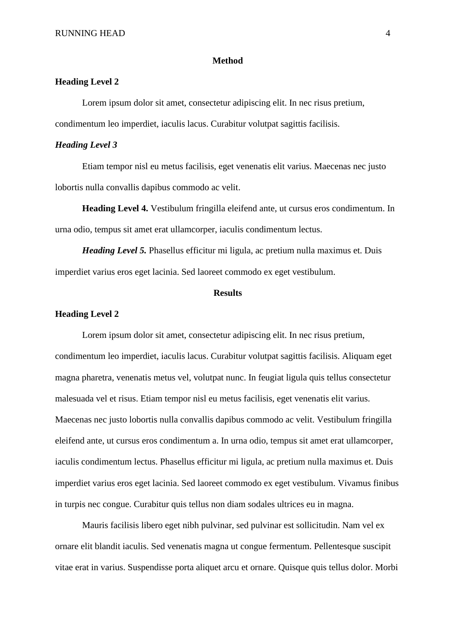#### **Method**

# **Heading Level 2**

Lorem ipsum dolor sit amet, consectetur adipiscing elit. In nec risus pretium, condimentum leo imperdiet, iaculis lacus. Curabitur volutpat sagittis facilisis.

#### *Heading Level 3*

Etiam tempor nisl eu metus facilisis, eget venenatis elit varius. Maecenas nec justo lobortis nulla convallis dapibus commodo ac velit.

**Heading Level 4.** Vestibulum fringilla eleifend ante, ut cursus eros condimentum. In urna odio, tempus sit amet erat ullamcorper, iaculis condimentum lectus.

*Heading Level 5.* Phasellus efficitur mi ligula, ac pretium nulla maximus et. Duis imperdiet varius eros eget lacinia. Sed laoreet commodo ex eget vestibulum.

## **Results**

## **Heading Level 2**

Lorem ipsum dolor sit amet, consectetur adipiscing elit. In nec risus pretium, condimentum leo imperdiet, iaculis lacus. Curabitur volutpat sagittis facilisis. Aliquam eget magna pharetra, venenatis metus vel, volutpat nunc. In feugiat ligula quis tellus consectetur malesuada vel et risus. Etiam tempor nisl eu metus facilisis, eget venenatis elit varius. Maecenas nec justo lobortis nulla convallis dapibus commodo ac velit. Vestibulum fringilla eleifend ante, ut cursus eros condimentum a. In urna odio, tempus sit amet erat ullamcorper, iaculis condimentum lectus. Phasellus efficitur mi ligula, ac pretium nulla maximus et. Duis imperdiet varius eros eget lacinia. Sed laoreet commodo ex eget vestibulum. Vivamus finibus in turpis nec congue. Curabitur quis tellus non diam sodales ultrices eu in magna.

Mauris facilisis libero eget nibh pulvinar, sed pulvinar est sollicitudin. Nam vel ex ornare elit blandit iaculis. Sed venenatis magna ut congue fermentum. Pellentesque suscipit vitae erat in varius. Suspendisse porta aliquet arcu et ornare. Quisque quis tellus dolor. Morbi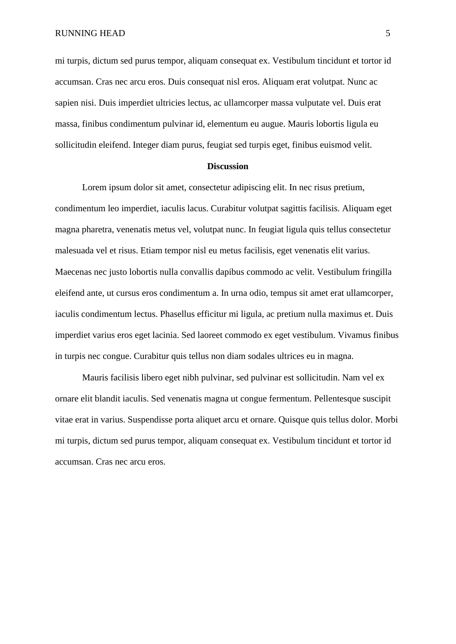RUNNING HEAD 5

mi turpis, dictum sed purus tempor, aliquam consequat ex. Vestibulum tincidunt et tortor id accumsan. Cras nec arcu eros. Duis consequat nisl eros. Aliquam erat volutpat. Nunc ac sapien nisi. Duis imperdiet ultricies lectus, ac ullamcorper massa vulputate vel. Duis erat massa, finibus condimentum pulvinar id, elementum eu augue. Mauris lobortis ligula eu sollicitudin eleifend. Integer diam purus, feugiat sed turpis eget, finibus euismod velit.

## **Discussion**

Lorem ipsum dolor sit amet, consectetur adipiscing elit. In nec risus pretium, condimentum leo imperdiet, iaculis lacus. Curabitur volutpat sagittis facilisis. Aliquam eget magna pharetra, venenatis metus vel, volutpat nunc. In feugiat ligula quis tellus consectetur malesuada vel et risus. Etiam tempor nisl eu metus facilisis, eget venenatis elit varius. Maecenas nec justo lobortis nulla convallis dapibus commodo ac velit. Vestibulum fringilla eleifend ante, ut cursus eros condimentum a. In urna odio, tempus sit amet erat ullamcorper, iaculis condimentum lectus. Phasellus efficitur mi ligula, ac pretium nulla maximus et. Duis imperdiet varius eros eget lacinia. Sed laoreet commodo ex eget vestibulum. Vivamus finibus in turpis nec congue. Curabitur quis tellus non diam sodales ultrices eu in magna.

Mauris facilisis libero eget nibh pulvinar, sed pulvinar est sollicitudin. Nam vel ex ornare elit blandit iaculis. Sed venenatis magna ut congue fermentum. Pellentesque suscipit vitae erat in varius. Suspendisse porta aliquet arcu et ornare. Quisque quis tellus dolor. Morbi mi turpis, dictum sed purus tempor, aliquam consequat ex. Vestibulum tincidunt et tortor id accumsan. Cras nec arcu eros.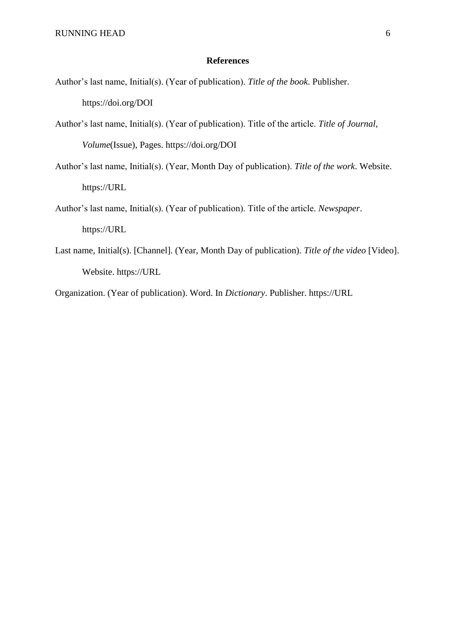### **References**

- Author's last name, Initial(s). (Year of publication). *Title of the book*. Publisher. https://doi.org/DOI
- Author's last name, Initial(s). (Year of publication). Title of the article. *Title of Journal*, *Volume*(Issue), Pages. https://doi.org/DOI
- Author's last name, Initial(s). (Year, Month Day of publication). *Title of the work*. Website. https://URL
- Author's last name, Initial(s). (Year of publication). Title of the article. *Newspaper*. https://URL
- Last name, Initial(s). [Channel]. (Year, Month Day of publication). *Title of the video* [Video]. Website. https://URL

Organization. (Year of publication). Word. In *Dictionary*. Publisher. https://URL